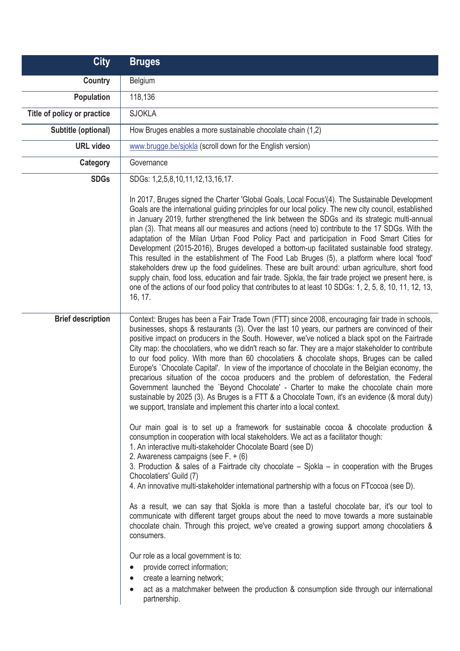| <b>City</b>                 | <b>Bruges</b>                                                                                                                                                                                                                                                                                                                                                                                                                                                                                                                                                                                                                                                                                                                                                                                                                                                                                                                                                                                                                                                                                                                                                                                                                                                                                                                                                                                                                                                                                                                                                                                                                                                                                                                                                                                                                                                                                                                                                                                                                          |
|-----------------------------|----------------------------------------------------------------------------------------------------------------------------------------------------------------------------------------------------------------------------------------------------------------------------------------------------------------------------------------------------------------------------------------------------------------------------------------------------------------------------------------------------------------------------------------------------------------------------------------------------------------------------------------------------------------------------------------------------------------------------------------------------------------------------------------------------------------------------------------------------------------------------------------------------------------------------------------------------------------------------------------------------------------------------------------------------------------------------------------------------------------------------------------------------------------------------------------------------------------------------------------------------------------------------------------------------------------------------------------------------------------------------------------------------------------------------------------------------------------------------------------------------------------------------------------------------------------------------------------------------------------------------------------------------------------------------------------------------------------------------------------------------------------------------------------------------------------------------------------------------------------------------------------------------------------------------------------------------------------------------------------------------------------------------------------|
| <b>Country</b>              | Belgium                                                                                                                                                                                                                                                                                                                                                                                                                                                                                                                                                                                                                                                                                                                                                                                                                                                                                                                                                                                                                                                                                                                                                                                                                                                                                                                                                                                                                                                                                                                                                                                                                                                                                                                                                                                                                                                                                                                                                                                                                                |
| <b>Population</b>           | 118,136                                                                                                                                                                                                                                                                                                                                                                                                                                                                                                                                                                                                                                                                                                                                                                                                                                                                                                                                                                                                                                                                                                                                                                                                                                                                                                                                                                                                                                                                                                                                                                                                                                                                                                                                                                                                                                                                                                                                                                                                                                |
| Title of policy or practice | <b>SJOKLA</b>                                                                                                                                                                                                                                                                                                                                                                                                                                                                                                                                                                                                                                                                                                                                                                                                                                                                                                                                                                                                                                                                                                                                                                                                                                                                                                                                                                                                                                                                                                                                                                                                                                                                                                                                                                                                                                                                                                                                                                                                                          |
| Subtitle (optional)         | How Bruges enables a more sustainable chocolate chain (1,2)                                                                                                                                                                                                                                                                                                                                                                                                                                                                                                                                                                                                                                                                                                                                                                                                                                                                                                                                                                                                                                                                                                                                                                                                                                                                                                                                                                                                                                                                                                                                                                                                                                                                                                                                                                                                                                                                                                                                                                            |
| <b>URL</b> video            | www.brugge.be/sjokla (scroll down for the English version)                                                                                                                                                                                                                                                                                                                                                                                                                                                                                                                                                                                                                                                                                                                                                                                                                                                                                                                                                                                                                                                                                                                                                                                                                                                                                                                                                                                                                                                                                                                                                                                                                                                                                                                                                                                                                                                                                                                                                                             |
| Category                    | Governance                                                                                                                                                                                                                                                                                                                                                                                                                                                                                                                                                                                                                                                                                                                                                                                                                                                                                                                                                                                                                                                                                                                                                                                                                                                                                                                                                                                                                                                                                                                                                                                                                                                                                                                                                                                                                                                                                                                                                                                                                             |
| <b>SDGs</b>                 | SDGs: 1,2,5,8,10,11,12,13,16,17.<br>In 2017, Bruges signed the Charter 'Global Goals, Local Focus'(4). The Sustainable Development<br>Goals are the international guiding principles for our local policy. The new city council, established<br>in January 2019, further strengthened the link between the SDGs and its strategic multi-annual<br>plan (3). That means all our measures and actions (need to) contribute to the 17 SDGs. With the<br>adaptation of the Milan Urban Food Policy Pact and participation in Food Smart Cities for<br>Development (2015-2016), Bruges developed a bottom-up facilitated sustainable food strategy.<br>This resulted in the establishment of The Food Lab Bruges (5), a platform where local 'food'<br>stakeholders drew up the food guidelines. These are built around: urban agriculture, short food<br>supply chain, food loss, education and fair trade. Sjokla, the fair trade project we present here, is<br>one of the actions of our food policy that contributes to at least 10 SDGs: 1, 2, 5, 8, 10, 11, 12, 13,<br>16, 17.                                                                                                                                                                                                                                                                                                                                                                                                                                                                                                                                                                                                                                                                                                                                                                                                                                                                                                                                                       |
| <b>Brief description</b>    | Context: Bruges has been a Fair Trade Town (FTT) since 2008, encouraging fair trade in schools,<br>businesses, shops & restaurants (3). Over the last 10 years, our partners are convinced of their<br>positive impact on producers in the South. However, we've noticed a black spot on the Fairtrade<br>City map: the chocolatiers, who we didn't reach so far. They are a major stakeholder to contribute<br>to our food policy. With more than 60 chocolatiers & chocolate shops, Bruges can be called<br>Europe's `Chocolate Capital'. In view of the importance of chocolate in the Belgian economy, the<br>precarious situation of the cocoa producers and the problem of deforestation, the Federal<br>Government launched the `Beyond Chocolate' - Charter to make the chocolate chain more<br>sustainable by 2025 (3). As Bruges is a FTT & a Chocolate Town, it's an evidence (& moral duty)<br>we support, translate and implement this charter into a local context.<br>Our main goal is to set up a framework for sustainable cocoa & chocolate production &<br>consumption in cooperation with local stakeholders. We act as a facilitator though:<br>1. An interactive multi-stakeholder Chocolate Board (see D)<br>2. Awareness campaigns (see F. + (6)<br>3. Production & sales of a Fairtrade city chocolate $-$ Sjokla $-$ in cooperation with the Bruges<br>Chocolatiers' Guild (7)<br>4. An innovative multi-stakeholder international partnership with a focus on FT cocoa (see D).<br>As a result, we can say that Sjokla is more than a tasteful chocolate bar, it's our tool to<br>communicate with different target groups about the need to move towards a more sustainable<br>chocolate chain. Through this project, we've created a growing support among chocolatiers &<br>consumers.<br>Our role as a local government is to:<br>provide correct information;<br>create a learning network;<br>act as a matchmaker between the production & consumption side through our international<br>partnership. |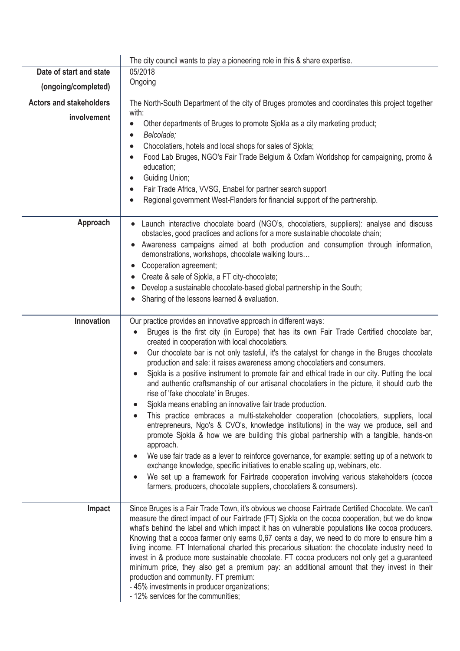|                                                           | The city council wants to play a pioneering role in this & share expertise.                                                                                                                                                                                                                                                                                                                                                                                                                                                                                                                                                                                                                                                                                                                                                                                                                                                                                                                                                                                                                                                                                                                                                                                                                                                                                                                                         |
|-----------------------------------------------------------|---------------------------------------------------------------------------------------------------------------------------------------------------------------------------------------------------------------------------------------------------------------------------------------------------------------------------------------------------------------------------------------------------------------------------------------------------------------------------------------------------------------------------------------------------------------------------------------------------------------------------------------------------------------------------------------------------------------------------------------------------------------------------------------------------------------------------------------------------------------------------------------------------------------------------------------------------------------------------------------------------------------------------------------------------------------------------------------------------------------------------------------------------------------------------------------------------------------------------------------------------------------------------------------------------------------------------------------------------------------------------------------------------------------------|
| Date of start and state                                   | 05/2018                                                                                                                                                                                                                                                                                                                                                                                                                                                                                                                                                                                                                                                                                                                                                                                                                                                                                                                                                                                                                                                                                                                                                                                                                                                                                                                                                                                                             |
| (ongoing/completed)                                       | Ongoing                                                                                                                                                                                                                                                                                                                                                                                                                                                                                                                                                                                                                                                                                                                                                                                                                                                                                                                                                                                                                                                                                                                                                                                                                                                                                                                                                                                                             |
| <b>Actors and stakeholders</b><br>involvement<br>Approach | The North-South Department of the city of Bruges promotes and coordinates this project together<br>with:<br>Other departments of Bruges to promote Sjokla as a city marketing product;<br>$\bullet$<br>Belcolade;<br>Chocolatiers, hotels and local shops for sales of Sjokla;<br>Food Lab Bruges, NGO's Fair Trade Belgium & Oxfam Worldshop for campaigning, promo &<br>education;<br>Guiding Union;<br>Fair Trade Africa, VVSG, Enabel for partner search support<br>Regional government West-Flanders for financial support of the partnership.<br>Launch interactive chocolate board (NGO's, chocolatiers, suppliers): analyse and discuss<br>obstacles, good practices and actions for a more sustainable chocolate chain;                                                                                                                                                                                                                                                                                                                                                                                                                                                                                                                                                                                                                                                                                    |
|                                                           | Awareness campaigns aimed at both production and consumption through information,<br>demonstrations, workshops, chocolate walking tours<br>Cooperation agreement;<br>Create & sale of Sjokla, a FT city-chocolate;<br>Develop a sustainable chocolate-based global partnership in the South;<br>Sharing of the lessons learned & evaluation.                                                                                                                                                                                                                                                                                                                                                                                                                                                                                                                                                                                                                                                                                                                                                                                                                                                                                                                                                                                                                                                                        |
| Innovation                                                | Our practice provides an innovative approach in different ways:<br>Bruges is the first city (in Europe) that has its own Fair Trade Certified chocolate bar,<br>$\bullet$<br>created in cooperation with local chocolatiers.<br>Our chocolate bar is not only tasteful, it's the catalyst for change in the Bruges chocolate<br>$\bullet$<br>production and sale: it raises awareness among chocolatiers and consumers.<br>Sjokla is a positive instrument to promote fair and ethical trade in our city. Putting the local<br>$\bullet$<br>and authentic craftsmanship of our artisanal chocolatiers in the picture, it should curb the<br>rise of 'fake chocolate' in Bruges.<br>Sjokla means enabling an innovative fair trade production.<br>This practice embraces a multi-stakeholder cooperation (chocolatiers, suppliers, local<br>entrepreneurs, Ngo's & CVO's, knowledge institutions) in the way we produce, sell and<br>promote Sjokla & how we are building this global partnership with a tangible, hands-on<br>approach.<br>We use fair trade as a lever to reinforce governance, for example: setting up of a network to<br>$\bullet$<br>exchange knowledge, specific initiatives to enable scaling up, webinars, etc.<br>We set up a framework for Fairtrade cooperation involving various stakeholders (cocoa<br>$\bullet$<br>farmers, producers, chocolate suppliers, chocolatiers & consumers). |
| Impact                                                    | Since Bruges is a Fair Trade Town, it's obvious we choose Fairtrade Certified Chocolate. We can't<br>measure the direct impact of our Fairtrade (FT) Sjokla on the cocoa cooperation, but we do know<br>what's behind the label and which impact it has on vulnerable populations like cocoa producers.<br>Knowing that a cocoa farmer only earns 0,67 cents a day, we need to do more to ensure him a<br>living income. FT International charted this precarious situation: the chocolate industry need to<br>invest in & produce more sustainable chocolate. FT cocoa producers not only get a guaranteed<br>minimum price, they also get a premium pay: an additional amount that they invest in their<br>production and community. FT premium:<br>- 45% investments in producer organizations;<br>- 12% services for the communities;                                                                                                                                                                                                                                                                                                                                                                                                                                                                                                                                                                           |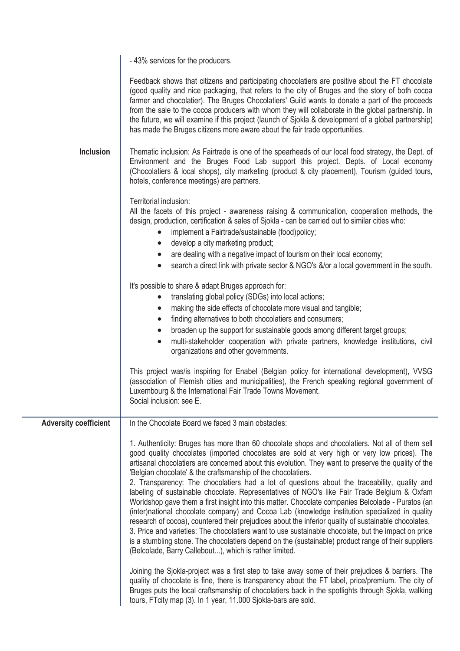|                              | - 43% services for the producers.                                                                                                                                                                                                                                                                                                                                                                                                                                                                                                                                                                                                                                                                                                                                                                                                                                                                                                                                                                                                                                                                                                                           |
|------------------------------|-------------------------------------------------------------------------------------------------------------------------------------------------------------------------------------------------------------------------------------------------------------------------------------------------------------------------------------------------------------------------------------------------------------------------------------------------------------------------------------------------------------------------------------------------------------------------------------------------------------------------------------------------------------------------------------------------------------------------------------------------------------------------------------------------------------------------------------------------------------------------------------------------------------------------------------------------------------------------------------------------------------------------------------------------------------------------------------------------------------------------------------------------------------|
|                              | Feedback shows that citizens and participating chocolatiers are positive about the FT chocolate<br>(good quality and nice packaging, that refers to the city of Bruges and the story of both cocoa<br>farmer and chocolatier). The Bruges Chocolatiers' Guild wants to donate a part of the proceeds<br>from the sale to the cocoa producers with whom they will collaborate in the global partnership. In<br>the future, we will examine if this project (launch of Sjokla & development of a global partnership)<br>has made the Bruges citizens more aware about the fair trade opportunities.                                                                                                                                                                                                                                                                                                                                                                                                                                                                                                                                                           |
| <b>Inclusion</b>             | Thematic inclusion: As Fairtrade is one of the spearheads of our local food strategy, the Dept. of<br>Environment and the Bruges Food Lab support this project. Depts. of Local economy<br>(Chocolatiers & local shops), city marketing (product & city placement), Tourism (guided tours,<br>hotels, conference meetings) are partners.                                                                                                                                                                                                                                                                                                                                                                                                                                                                                                                                                                                                                                                                                                                                                                                                                    |
|                              | Territorial inclusion:<br>All the facets of this project - awareness raising & communication, cooperation methods, the<br>design, production, certification & sales of Sjokla - can be carried out to similar cities who:<br>implement a Fairtrade/sustainable (food)policy;<br>$\bullet$<br>develop a city marketing product;<br>$\bullet$<br>are dealing with a negative impact of tourism on their local economy;<br>search a direct link with private sector & NGO's &/or a local government in the south.                                                                                                                                                                                                                                                                                                                                                                                                                                                                                                                                                                                                                                              |
|                              | It's possible to share & adapt Bruges approach for:<br>translating global policy (SDGs) into local actions;<br>$\bullet$<br>making the side effects of chocolate more visual and tangible;<br>$\bullet$<br>finding alternatives to both chocolatiers and consumers;<br>$\bullet$<br>broaden up the support for sustainable goods among different target groups;<br>$\bullet$<br>multi-stakeholder cooperation with private partners, knowledge institutions, civil<br>$\bullet$<br>organizations and other governments.                                                                                                                                                                                                                                                                                                                                                                                                                                                                                                                                                                                                                                     |
|                              | This project was/is inspiring for Enabel (Belgian policy for international development), VVSG<br>(association of Flemish cities and municipalities), the French speaking regional government of<br>Luxembourg & the International Fair Trade Towns Movement.<br>Social inclusion: see E.                                                                                                                                                                                                                                                                                                                                                                                                                                                                                                                                                                                                                                                                                                                                                                                                                                                                    |
| <b>Adversity coefficient</b> | In the Chocolate Board we faced 3 main obstacles:                                                                                                                                                                                                                                                                                                                                                                                                                                                                                                                                                                                                                                                                                                                                                                                                                                                                                                                                                                                                                                                                                                           |
|                              | 1. Authenticity: Bruges has more than 60 chocolate shops and chocolatiers. Not all of them sell<br>good quality chocolates (imported chocolates are sold at very high or very low prices). The<br>artisanal chocolatiers are concerned about this evolution. They want to preserve the quality of the<br>'Belgian chocolate' & the craftsmanship of the chocolatiers.<br>2. Transparency: The chocolatiers had a lot of questions about the traceability, quality and<br>labeling of sustainable chocolate. Representatives of NGO's like Fair Trade Belgium & Oxfam<br>Worldshop gave them a first insight into this matter. Chocolate companies Belcolade - Puratos (an<br>(inter)national chocolate company) and Cocoa Lab (knowledge institution specialized in quality<br>research of cocoa), countered their prejudices about the inferior quality of sustainable chocolates.<br>3. Price and varieties: The chocolatiers want to use sustainable chocolate, but the impact on price<br>is a stumbling stone. The chocolatiers depend on the (sustainable) product range of their suppliers<br>(Belcolade, Barry Callebout), which is rather limited. |
|                              | Joining the Sjokla-project was a first step to take away some of their prejudices & barriers. The<br>quality of chocolate is fine, there is transparency about the FT label, price/premium. The city of<br>Bruges puts the local craftsmanship of chocolatiers back in the spotlights through Sjokla, walking<br>tours, FTcity map (3). In 1 year, 11.000 Sjokla-bars are sold.                                                                                                                                                                                                                                                                                                                                                                                                                                                                                                                                                                                                                                                                                                                                                                             |